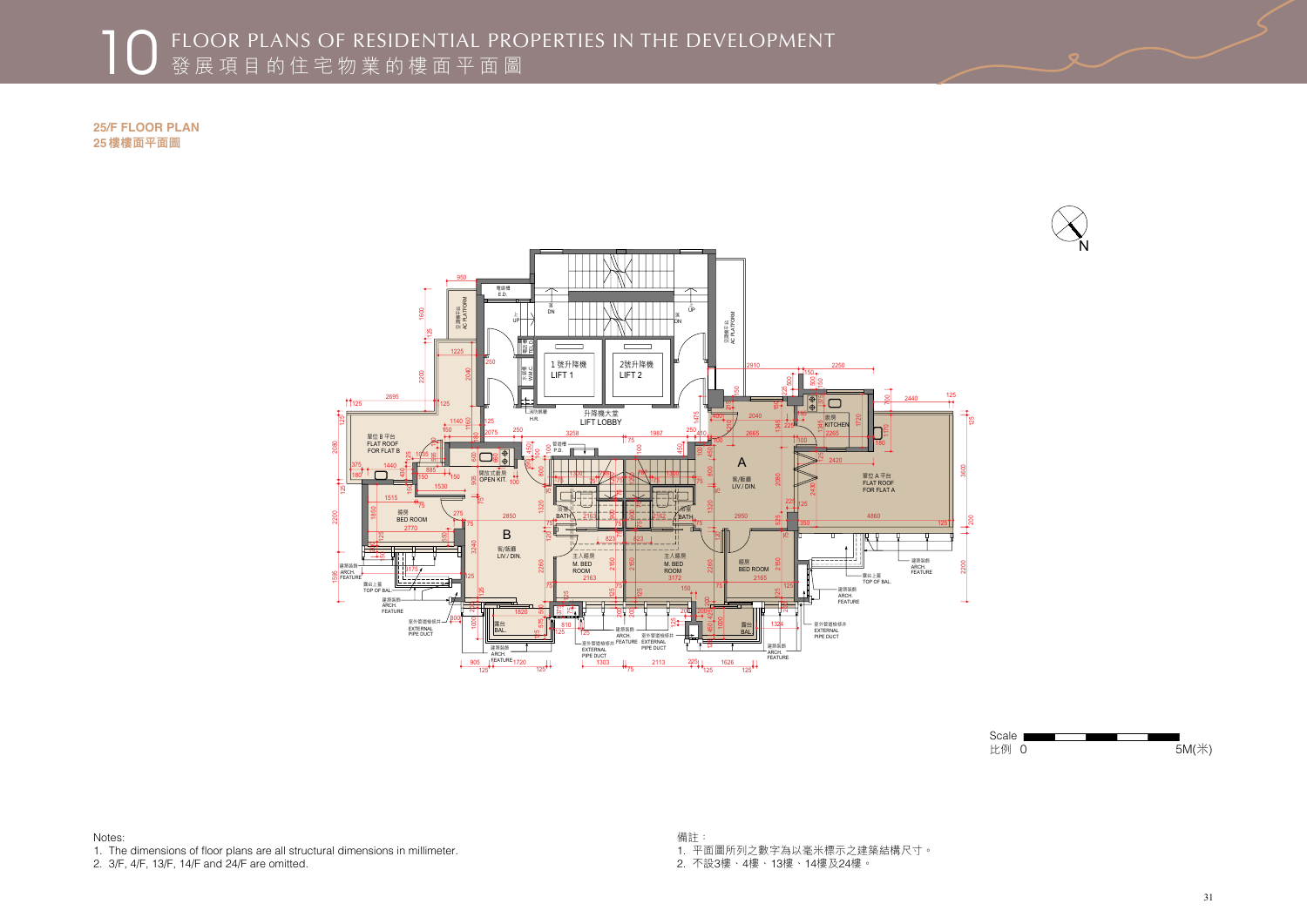



Scale **League** 比例 0 5M(米)

## ■ 10 FLOOR PLANS OF RESIDENTIAL PROPERTIES IN THE DEVELOPMENT<br>發展項目的住宅物業的樓面平面圖

**25/F FLOOR PLAN**  樓樓面平面圖

Notes: 1. The dimensions of floor plans are all structural dimensions in millimeter.

2. 3/F, 4/F, 13/F, 14/F and 24/F are omitted.

備註: 1. 平面圖所列之數字為以毫米標示之建築結構尺寸。 2. 不設3樓、4樓、13樓、14樓及24樓。